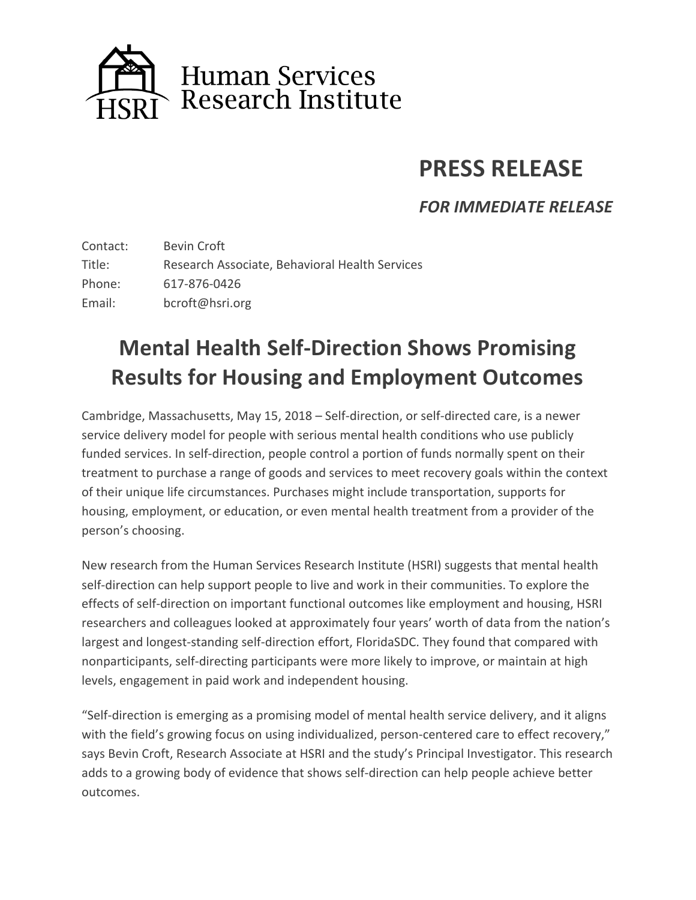

## **PRESS RELEASE**

*FOR IMMEDIATE RELEASE* 

Contact: Bevin Croft Title: Research Associate, Behavioral Health Services Phone: 617-876-0426 Email: bcroft@hsri.org

## **Mental Health Self-Direction Shows Promising Results for Housing and Employment Outcomes**

Cambridge, Massachusetts, May 15, 2018 – Self-direction, or self-directed care, is a newer service delivery model for people with serious mental health conditions who use publicly funded services. In self-direction, people control a portion of funds normally spent on their treatment to purchase a range of goods and services to meet recovery goals within the context of their unique life circumstances. Purchases might include transportation, supports for housing, employment, or education, or even mental health treatment from a provider of the person's choosing.

New research from the Human Services Research Institute (HSRI) suggests that mental health self-direction can help support people to live and work in their communities. To explore the effects of self-direction on important functional outcomes like employment and housing, HSRI researchers and colleagues looked at approximately four years' worth of data from the nation's largest and longest-standing self-direction effort, FloridaSDC. They found that compared with nonparticipants, self-directing participants were more likely to improve, or maintain at high levels, engagement in paid work and independent housing.

"Self-direction is emerging as a promising model of mental health service delivery, and it aligns with the field's growing focus on using individualized, person-centered care to effect recovery," says Bevin Croft, Research Associate at HSRI and the study's Principal Investigator. This research adds to a growing body of evidence that shows self-direction can help people achieve better outcomes.